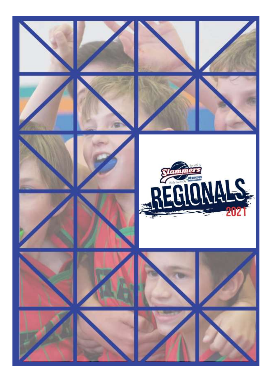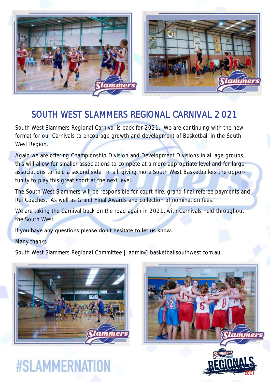



#### SOUTH WEST SLAMMERS REGIONAL CARNIVAL 2 021

South West Slammers Regional Carnival is back for 2021. We are continuing with the new format for our Carnivals to encourage growth and development of Basketball in the South West Region.

Again we are offering Championship Division and Development Divisions in all age groups, this will allow for smaller associations to compete at a more appropriate level and for larger associations to field a second side. In all, giving more South West Basketballers the opportunity to play this great sport at the next level.

The South West Slammers will be responsible for court hire, grand final referee payments and Ref Coaches. As well as Grand Final Awards and collection of nomination fees.

We are taking the Carnival back on the road again in 2021, with Carnivals held throughout the South West.

If you have any questions please don't hesitate to let us know.

#### Many thanks

South West Slammers Regional Committee | admin@basketballsouthwest.com.au



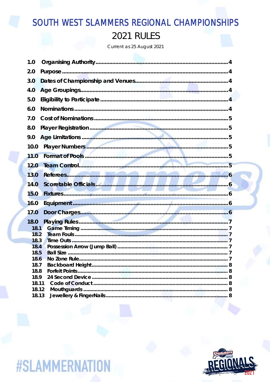## SOUTH WEST SLAMMERS REGIONAL CHAMPIONSHIPS **2021 RULES**

Current as 25 August 2021

| 1.0           |  |
|---------------|--|
| 2.0           |  |
| 3.0           |  |
| 4.0           |  |
| 5.0           |  |
| 6.0           |  |
| 7.0           |  |
| 8.0           |  |
| 9.0           |  |
| 10.0          |  |
| 11.0          |  |
| 12.0          |  |
| 13.0          |  |
| 14.0          |  |
| 15.0          |  |
| 16.0          |  |
| 17.0          |  |
| 18.0<br>18.1  |  |
| 18.2<br>18.3  |  |
| 18.4          |  |
| 18.5<br>18.6  |  |
| 18.7          |  |
| 18.8          |  |
| 18.9<br>18.11 |  |
| 18.12         |  |
| 18.13         |  |

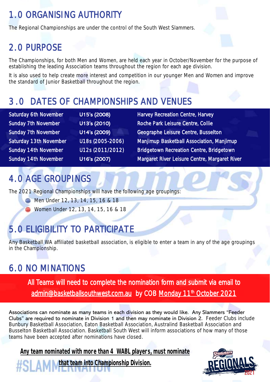## 1. 0 ORGANISING AUTHORITY

The Regional Championships are under the control of the South West Slammers.

#### 2. 0 PURPOSE

The Championships, for both Men and Women, are held each year in October/November for the purpose of establishing the leading Association teams throughout the region for each age division.

It is also used to help create more interest and competition in our younger Men and Women and improve the standard of Junior Basketball throughout the region.

### 3. 0 DATES OF CHAMPIONSHIPS AND VENUES

| Saturday 6th November      |  |  |  |  |  |
|----------------------------|--|--|--|--|--|
| <b>Sunday 7th November</b> |  |  |  |  |  |
| <b>Sunday 7th November</b> |  |  |  |  |  |
| Saturday 13th November     |  |  |  |  |  |
| Sunday 14th November       |  |  |  |  |  |
| Sunday 14th November       |  |  |  |  |  |

U15's (2008) Harvey Recreation Centre, Harvey U13's (2010) Roche Park Leisure Centre, Collie U14's (2009) Geographe Leisure Centre, Busselton U18s (2005-2006) Manjimup Basketball Association, Manjimup U12s (2011/2012) Bridgetown Recreation Centre, Bridgetown U16's (2007) Margaret River Leisure Centre, Margaret River

## 4. 0 AGE GROUPINGS

The 2021 Regional Championships will have the following age groupings:

- **Men Under 12, 13, 14, 15, 16 & 18**
- **Women Under 12, 13, 14, 15, 16 & 18**

## 5. 0 ELIGIBILITY TO PARTICIPATE

Any Basketball WA affiliated basketball association, is eligible to enter a team in any of the age groupings in the Championship.

## 6. 0 NO MINATIONS

All Teams will need to complete the nomination form and submit via email to [admin@basketballsouthwest.com.au](mailto:admin@basketballsouthwest.com.au) by COB Monday 11<sup>th</sup> October 2021

Associations can nominate as many teams in each division as they would like. Any Slammers "Feeder Clubs" are required to nominate in Division 1 and then may nominate in Division 2. Feeder Clubs include Bunbury Basketball Association, Eaton Basketball Association, Australind Basketball Association and Busselton Basketball Association. Basketball South West will inform associations of how many of those teams have been accepted after nominations have closed.

**Any team nominated with more than 4 WABL players, must nominate** 

**that team into Championship Division.** 

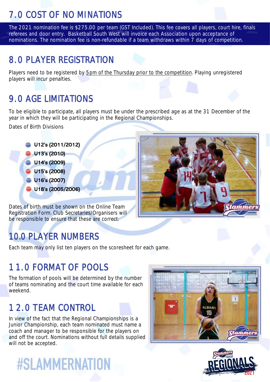## 7. 0 COST OF NO MINATIONS

The 2021 nomination fee is \$275.00 per team (GST Included). This fee covers all players, court hire, finals referees and door entry. Basketball South West will invoice each Association upon acceptance of nominations. The nomination fee is non-refundable if a team withdraws within 7 days of competition.

### 8. 0 PLAYER REGISTRATION

Players need to be registered by 5pm of the Thursday prior to the competition. Playing unregistered players will incur penalties.

## 9. 0 AGE LIMITATIONS

To be eligible to participate, all players must be under the prescribed age as at the 31 December of the year in which they will be participating in the Regional Championships.

Dates of Birth Divisions

**U12's (2011/2012) U13's (2010) U14's (2009) U15's (2008) U16's (2007) U18's (2005/2006)** 

Dates of birth must be shown on the Online Team Registration Form. Club Secretaries/Organisers will be responsible to ensure that these are correct.

## 10.0 PLAYER NUMBERS

Each team may only list ten players on the scoresheet for each game.

## 11. 0 FORMAT OF POOLS

The formation of pools will be determined by the number of teams nominating and the court time available for each weekend.

### 1 2. 0 TEAM CONTROL

In view of the fact that the Regional Championships is a Junior Championship, each team nominated must name a coach and manager to be responsible for the players on and off the court. Nominations without full details supplied will not be accepted.



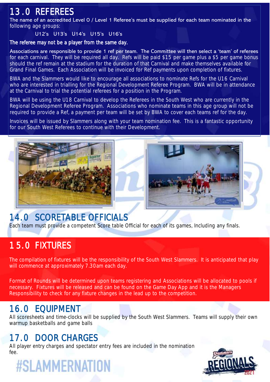#### 13. 0 REFEREES

The name of an accredited Level 0 / Level 1 Referee's must be supplied for each team nominated in the following age groups:

#### U12's U13's U14's U15's U16's

#### The referee may not be a player from the same day.

Associations are responsible to provide 1 ref per team. The Committee will then select a 'team' of referees for each carnival. They will be required all day. Refs will be paid \$15 per game plus a \$5 per game bonus should the ref remain at the stadium for the duration of that Carnival and make themselves available for Grand Final Games. Each Association will be invoiced for Ref payments upon completion of fixtures.

BWA and the Slammers would like to encourage all associations to nominate Refs for the U16 Carnival who are interested in trialling for the Regional Development Referee Program. BWA will be in attendance at the Carnival to trial the potential referees for a position in the Program.

BWA will be using the U18 Carnival to develop the Referees in the South West who are currently in the Regional Development Referee Program. Associations who nominate teams in this age group will not be required to provide a Ref, a payment per team will be set by BWA to cover each teams ref for the day.

Invoices will be issued by Slammers along with your team nomination fee. This is a fantastic opportunity for our South West Referees to continue with their Development.





#### 14. 0 SCORETABLE OFFICIALS

Each team must provide a competent Score table Official for each of its games, Including any finals.

### 15. 0 FIXTURES

The compilation of fixtures will be the responsibility of the South West Slammers. It is anticipated that play will commence at approximately 7.30am each day.

Format of Rounds will be determined upon teams registering and Associations will be allocated to pools if necessary. Fixtures will be released and can be found on the Game Day App and it is the Managers Responsibility to check for any fixture changes in the lead up to the competition.

#### 16. 0 EQUIPMENT

All scoresheets and time-clocks will be supplied by the South West Slammers. Teams will supply their own warmup basketballs and game balls

### 17. 0 DOOR CHARGES

All player entry charges and spectator entry fees are included in the nomination fee.

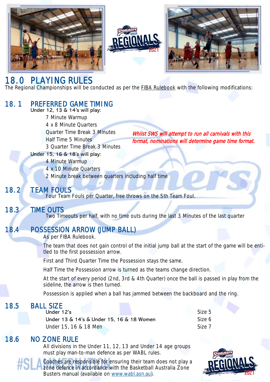





Whilst SWS will attempt to run all carnivals with this format, nominations will determine game time format.

#### 18. 0 PLAYING RULES

The Regional Championships will be conducted as per the FIBA Rulebook with the following modifications:

#### 18. 1 PREFERRED GAME TIMI NG

Under 12, 13 & 14's will play: 7 Minute Warmup 4 x 8 Minute Quarters Quarter Time Break 3 Minutes Half Time 5 Minutes 3 Quarter Time Break 3 Minutes

Under 15, 16 & 18's will play:

4 Minute Warmup

4 x 10 Minute Quarters

2 Minute break between quarters including half time

#### 18. 2 TEAM FOULS

Four Team Fouls per Quarter, free throws on the 5th Team Foul.

#### 18.3 TIME OUTS

Two Timeouts per half, with no time outs during the last 3 Minutes of the last quarter

#### 18.4 POSSESSION ARROW (JUMP BALL)

As per FIBA Rulebook.

The team that does not gain control of the initial jump ball at the start of the game will be entitled to the first possession arrow.

First and Third Quarter Time the Possession stays the same.

Half Time the Possession arrow is turned as the teams change direction.

At the start of every period (2nd, 3rd & 4th Quarter) once the ball is passed in play from the sideline, the arrow is then turned.

Possession is applied when a ball has jammed between the backboard and the ring.

#### 18.5 BALL SIZE

#### Under 12's Size 5

Under 13 & 14's & Under 15, 16 & 18 Women Size 6 Under 15, 16 & 18 Men Size 7

#### 18.6 NO ZONE RULE

All divisions in the Under 11, 12, 13 and Under 14 age groups must play man-to-man defence as per WABL rules.

Coaches are responsible for ensuring their team does not play a zone defence in accordance with the Basketball Australia Zone Busters manual (available on [www.wabl.asn.au\)](http://www.wabl.asn.au).

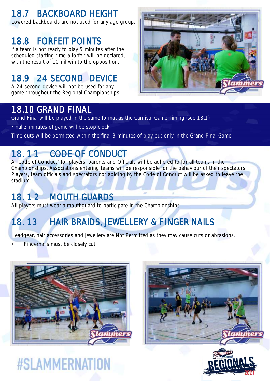## 18.7 BACKBOARD HEIGHT

Lowered backboards are not used for any age group.

#### 18.8 FORFEIT POINTS

If a team is not ready to play 5 minutes after the scheduled starting time a forfeit will be declared, with the result of 10-nil win to the opposition.

### 18.9 24 SECOND DEVICE

A 24 second device will not be used for any game throughout the Regional Championships.



#### 18.10 GRAND FINAL

Grand Final will be played in the same format as the Carnival Game Timing (see 18.1)

Final 3 minutes of game will be stop clock

Time outs will be permitted within the final 3 minutes of play but only in the Grand Final Game

### 18. 11 CODE OF CONDUCT

A "Code of Conduct" for players, parents and Officials will be adhered to for all teams in the Championships. Associations entering teams will be responsible for the behaviour of their spectators. Players, team officials and spectators not abiding by the Code of Conduct will be asked to leave the stadium.

#### 18. 1 2 MOUTH GUARDS

All players must wear a mouthquard to participate in the Championships.

# 18. 13 HAIR BRAIDS, JEWELLERY & FINGER NAILS

Headgear, hair accessories and jewellery are Not Permitted as they may cause cuts or abrasions.

Fingernails must be closely cut.





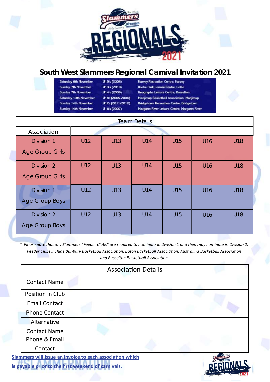

#### **South West Slammers Regional Carnival Invitation 2021**

Saturday 6th November Sunday 7th November Sunday 7th November Saturday 13th November Sunday 14th November Sunday 14th November

U15's (2008) U13's (2010) U14's (2009) U18s (2005-2006) U12s (2011/2012) U16's (2007)

**Harvey Recreation Centre, Harvey** Roche Park Leisure Centre, Collie Geographe Leisure Centre, Busselton Manjimup Basketball Association, Manjimup **Bridgetown Recreation Centre, Bridgetown** Margaret River Leisure Centre, Margaret River

| <b>Team Details</b>                         |     |     |     |            |     |     |  |  |  |  |
|---------------------------------------------|-----|-----|-----|------------|-----|-----|--|--|--|--|
| Association                                 |     |     |     |            |     |     |  |  |  |  |
| <b>Division 1</b><br><b>Age Group Girls</b> | U12 | U13 | U14 | U15        | U16 | U18 |  |  |  |  |
| Division 2<br><b>Age Group Girls</b>        | U12 | U13 | U14 | U15        | U16 | U18 |  |  |  |  |
| <b>Division 1</b><br><b>Age Group Boys</b>  | U12 | U13 | U14 | U15        | U16 | U18 |  |  |  |  |
| Division 2<br>Age Group Boys                | U12 | U13 | U14 | <b>U15</b> | U16 | U18 |  |  |  |  |

*\* Please note that any Slammers "Feeder Clubs" are required to nominate in Division 1 and then may nominate in Division 2. Feeder Clubs include Bunbury Basketball Association, Eaton Basketball Association, Australind Basketball Association and Busselton Basketball Association*

| <b>Association Details</b> |  |  |  |  |                           |  |  |
|----------------------------|--|--|--|--|---------------------------|--|--|
| <b>Contact Name</b>        |  |  |  |  |                           |  |  |
| Position in Club           |  |  |  |  |                           |  |  |
| <b>Email Contact</b>       |  |  |  |  |                           |  |  |
| <b>Phone Contact</b>       |  |  |  |  |                           |  |  |
| Alternative                |  |  |  |  |                           |  |  |
| <b>Contact Name</b>        |  |  |  |  |                           |  |  |
| Phone & Email              |  |  |  |  |                           |  |  |
| Contact                    |  |  |  |  |                           |  |  |
|                            |  |  |  |  | <b>Controlled Charles</b> |  |  |

**Slammers will issue an invoice to each association which is payable prior to the first weekend of carnivals.**